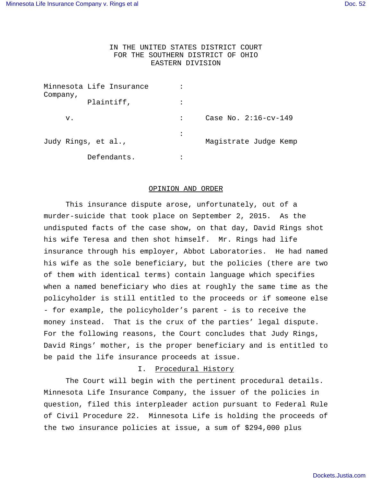# IN THE UNITED STATES DISTRICT COURT FOR THE SOUTHERN DISTRICT OF OHIO EASTERN DIVISION

| Company,            | Minnesota Life Insurance |                |                         |
|---------------------|--------------------------|----------------|-------------------------|
|                     | Plaintiff,               |                |                         |
| v.                  |                          |                | Case No. $2:16$ -cv-149 |
| Judy Rings, et al., |                          | $\ddot{\cdot}$ | Magistrate Judge Kemp   |
|                     | Defendants.              |                |                         |

#### OPINION AND ORDER

This insurance dispute arose, unfortunately, out of a murder-suicide that took place on September 2, 2015. As the undisputed facts of the case show, on that day, David Rings shot his wife Teresa and then shot himself. Mr. Rings had life insurance through his employer, Abbot Laboratories. He had named his wife as the sole beneficiary, but the policies (there are two of them with identical terms) contain language which specifies when a named beneficiary who dies at roughly the same time as the policyholder is still entitled to the proceeds or if someone else - for example, the policyholder's parent - is to receive the money instead. That is the crux of the parties' legal dispute. For the following reasons, the Court concludes that Judy Rings, David Rings' mother, is the proper beneficiary and is entitled to be paid the life insurance proceeds at issue.

### I. Procedural History

The Court will begin with the pertinent procedural details. Minnesota Life Insurance Company, the issuer of the policies in question, filed this interpleader action pursuant to Federal Rule of Civil Procedure 22. Minnesota Life is holding the proceeds of the two insurance policies at issue, a sum of \$294,000 plus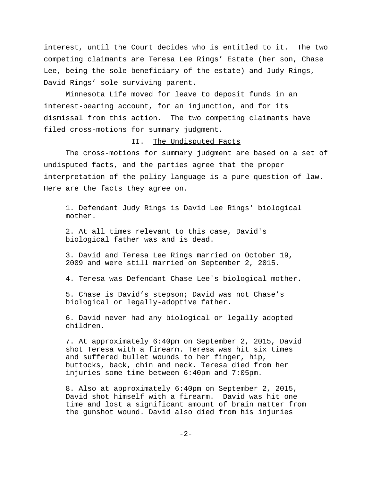interest, until the Court decides who is entitled to it. The two competing claimants are Teresa Lee Rings' Estate (her son, Chase Lee, being the sole beneficiary of the estate) and Judy Rings, David Rings' sole surviving parent.

Minnesota Life moved for leave to deposit funds in an interest-bearing account, for an injunction, and for its dismissal from this action. The two competing claimants have filed cross-motions for summary judgment.

#### II. The Undisputed Facts

The cross-motions for summary judgment are based on a set of undisputed facts, and the parties agree that the proper interpretation of the policy language is a pure question of law. Here are the facts they agree on.

1. Defendant Judy Rings is David Lee Rings' biological mother.

2. At all times relevant to this case, David's biological father was and is dead.

3. David and Teresa Lee Rings married on October 19, 2009 and were still married on September 2, 2015.

4. Teresa was Defendant Chase Lee's biological mother.

5. Chase is David's stepson; David was not Chase's biological or legally-adoptive father.

6. David never had any biological or legally adopted children.

7. At approximately 6:40pm on September 2, 2015, David shot Teresa with a firearm. Teresa was hit six times and suffered bullet wounds to her finger, hip, buttocks, back, chin and neck. Teresa died from her injuries some time between 6:40pm and 7:05pm.

8. Also at approximately 6:40pm on September 2, 2015, David shot himself with a firearm. David was hit one time and lost a significant amount of brain matter from the gunshot wound. David also died from his injuries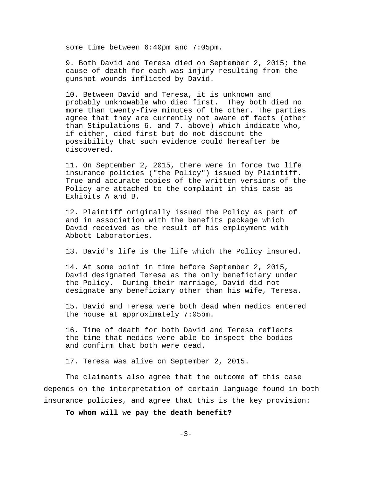some time between 6:40pm and 7:05pm.

9. Both David and Teresa died on September 2, 2015; the cause of death for each was injury resulting from the gunshot wounds inflicted by David.

10. Between David and Teresa, it is unknown and probably unknowable who died first. They both died no more than twenty-five minutes of the other. The parties agree that they are currently not aware of facts (other than Stipulations 6. and 7. above) which indicate who, if either, died first but do not discount the possibility that such evidence could hereafter be discovered.

11. On September 2, 2015, there were in force two life insurance policies ("the Policy") issued by Plaintiff. True and accurate copies of the written versions of the Policy are attached to the complaint in this case as Exhibits A and B.

12. Plaintiff originally issued the Policy as part of and in association with the benefits package which David received as the result of his employment with Abbott Laboratories.

13. David's life is the life which the Policy insured.

14. At some point in time before September 2, 2015, David designated Teresa as the only beneficiary under the Policy. During their marriage, David did not designate any beneficiary other than his wife, Teresa.

15. David and Teresa were both dead when medics entered the house at approximately 7:05pm.

16. Time of death for both David and Teresa reflects the time that medics were able to inspect the bodies and confirm that both were dead.

17. Teresa was alive on September 2, 2015.

The claimants also agree that the outcome of this case depends on the interpretation of certain language found in both insurance policies, and agree that this is the key provision:

**To whom will we pay the death benefit?**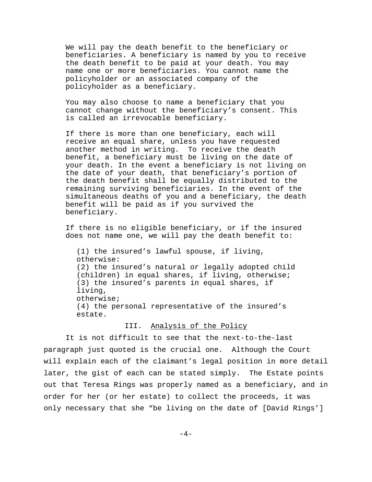We will pay the death benefit to the beneficiary or beneficiaries. A beneficiary is named by you to receive the death benefit to be paid at your death. You may name one or more beneficiaries. You cannot name the policyholder or an associated company of the policyholder as a beneficiary.

You may also choose to name a beneficiary that you cannot change without the beneficiary's consent. This is called an irrevocable beneficiary.

If there is more than one beneficiary, each will receive an equal share, unless you have requested another method in writing. To receive the death benefit, a beneficiary must be living on the date of your death. In the event a beneficiary is not living on the date of your death, that beneficiary's portion of the death benefit shall be equally distributed to the remaining surviving beneficiaries. In the event of the simultaneous deaths of you and a beneficiary, the death benefit will be paid as if you survived the beneficiary.

If there is no eligible beneficiary, or if the insured does not name one, we will pay the death benefit to:

(1) the insured's lawful spouse, if living, otherwise: (2) the insured's natural or legally adopted child (children) in equal shares, if living, otherwise; (3) the insured's parents in equal shares, if living, otherwise; (4) the personal representative of the insured's estate.

#### III. Analysis of the Policy

It is not difficult to see that the next-to-the-last paragraph just quoted is the crucial one. Although the Court will explain each of the claimant's legal position in more detail later, the gist of each can be stated simply. The Estate points out that Teresa Rings was properly named as a beneficiary, and in order for her (or her estate) to collect the proceeds, it was only necessary that she "be living on the date of [David Rings']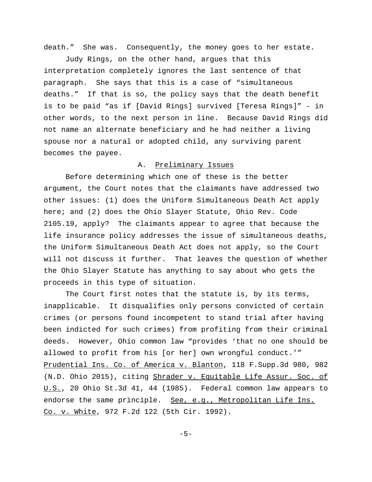death." She was. Consequently, the money goes to her estate.

Judy Rings, on the other hand, argues that this interpretation completely ignores the last sentence of that paragraph. She says that this is a case of "simultaneous deaths." If that is so, the policy says that the death benefit is to be paid "as if [David Rings] survived [Teresa Rings]" - in other words, to the next person in line. Because David Rings did not name an alternate beneficiary and he had neither a living spouse nor a natural or adopted child, any surviving parent becomes the payee.

# A. Preliminary Issues

Before determining which one of these is the better argument, the Court notes that the claimants have addressed two other issues: (1) does the Uniform Simultaneous Death Act apply here; and (2) does the Ohio Slayer Statute, Ohio Rev. Code 2105.19, apply? The claimants appear to agree that because the life insurance policy addresses the issue of simultaneous deaths, the Uniform Simultaneous Death Act does not apply, so the Court will not discuss it further. That leaves the question of whether the Ohio Slayer Statute has anything to say about who gets the proceeds in this type of situation.

The Court first notes that the statute is, by its terms, inapplicable. It disqualifies only persons convicted of certain crimes (or persons found incompetent to stand trial after having been indicted for such crimes) from profiting from their criminal deeds. However, Ohio common law "provides 'that no one should be allowed to profit from his [or her] own wrongful conduct.'" Prudential Ins. Co. of America v. Blanton, 118 F.Supp.3d 980, 982 (N.D. Ohio 2015), citing Shrader v. Equitable Life Assur. Soc. of U.S., 20 Ohio St.3d 41, 44 (1985). Federal common law appears to endorse the same principle. See, e.g., Metropolitan Life Ins. Co. v. White, 972 F.2d 122 (5th Cir. 1992).

 $-5-$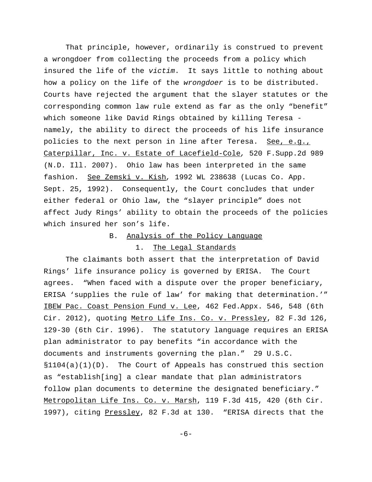That principle, however, ordinarily is construed to prevent a wrongdoer from collecting the proceeds from a policy which insured the life of the victim. It says little to nothing about how a policy on the life of the wrongdoer is to be distributed. Courts have rejected the argument that the slayer statutes or the corresponding common law rule extend as far as the only "benefit" which someone like David Rings obtained by killing Teresa namely, the ability to direct the proceeds of his life insurance policies to the next person in line after Teresa. See, e.g., Caterpillar, Inc. v. Estate of Lacefield-Cole, 520 F.Supp.2d 989 (N.D. Ill. 2007). Ohio law has been interpreted in the same fashion. See Zemski v. Kish, 1992 WL 238638 (Lucas Co. App. Sept. 25, 1992). Consequently, the Court concludes that under either federal or Ohio law, the "slayer principle" does not affect Judy Rings' ability to obtain the proceeds of the policies which insured her son's life.

# B. Analysis of the Policy Language 1. The Legal Standards

The claimants both assert that the interpretation of David Rings' life insurance policy is governed by ERISA. The Court agrees. "When faced with a dispute over the proper beneficiary, ERISA 'supplies the rule of law' for making that determination.'" IBEW Pac. Coast Pension Fund v. Lee, 462 Fed.Appx. 546, 548 (6th Cir. 2012), quoting Metro Life Ins. Co. v. Pressley, 82 F.3d 126, 129-30 (6th Cir. 1996). The statutory language requires an ERISA plan administrator to pay benefits "in accordance with the documents and instruments governing the plan." 29 U.S.C.  $$1104(a)(1)(D)$ . The Court of Appeals has construed this section as "establish[ing] a clear mandate that plan administrators follow plan documents to determine the designated beneficiary." Metropolitan Life Ins. Co. v. Marsh, 119 F.3d 415, 420 (6th Cir. 1997), citing Pressley, 82 F.3d at 130. "ERISA directs that the

-6-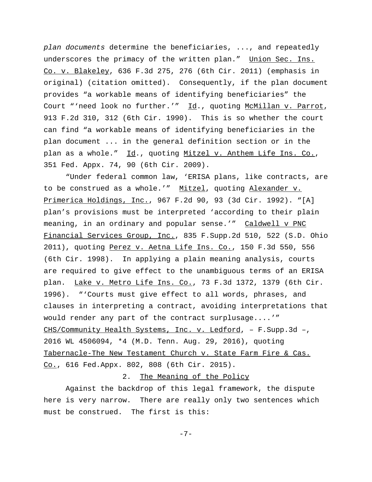plan documents determine the beneficiaries, ..., and repeatedly underscores the primacy of the written plan." Union Sec. Ins. Co. v. Blakeley, 636 F.3d 275, 276 (6th Cir. 2011) (emphasis in original) (citation omitted). Consequently, if the plan document provides "a workable means of identifying beneficiaries" the Court "'need look no further.'" Id., quoting McMillan v. Parrot, 913 F.2d 310, 312 (6th Cir. 1990). This is so whether the court can find "a workable means of identifying beneficiaries in the plan document ... in the general definition section or in the plan as a whole." Id., quoting Mitzel v. Anthem Life Ins. Co., 351 Fed. Appx. 74, 90 (6th Cir. 2009).

"Under federal common law, 'ERISA plans, like contracts, are to be construed as a whole.'" Mitzel, quoting Alexander v. Primerica Holdings, Inc., 967 F.2d 90, 93 (3d Cir. 1992). "[A] plan's provisions must be interpreted 'according to their plain meaning, in an ordinary and popular sense.'" Caldwell v PNC Financial Services Group, Inc., 835 F.Supp.2d 510, 522 (S.D. Ohio 2011), quoting Perez v. Aetna Life Ins. Co., 150 F.3d 550, 556 (6th Cir. 1998). In applying a plain meaning analysis, courts are required to give effect to the unambiguous terms of an ERISA plan. Lake v. Metro Life Ins. Co., 73 F.3d 1372, 1379 (6th Cir. 1996). "'Courts must give effect to all words, phrases, and clauses in interpreting a contract, avoiding interpretations that would render any part of the contract surplusage....'" CHS/Community Health Systems, Inc. v. Ledford, – F.Supp.3d –, 2016 WL 4506094, \*4 (M.D. Tenn. Aug. 29, 2016), quoting Tabernacle-The New Testament Church v. State Farm Fire & Cas. Co., 616 Fed.Appx. 802, 808 (6th Cir. 2015).

#### 2. The Meaning of the Policy

Against the backdrop of this legal framework, the dispute here is very narrow. There are really only two sentences which must be construed. The first is this:

-7-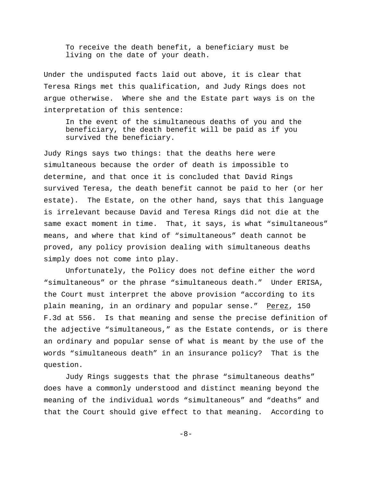To receive the death benefit, a beneficiary must be living on the date of your death.

Under the undisputed facts laid out above, it is clear that Teresa Rings met this qualification, and Judy Rings does not argue otherwise. Where she and the Estate part ways is on the interpretation of this sentence:

In the event of the simultaneous deaths of you and the beneficiary, the death benefit will be paid as if you survived the beneficiary.

Judy Rings says two things: that the deaths here were simultaneous because the order of death is impossible to determine, and that once it is concluded that David Rings survived Teresa, the death benefit cannot be paid to her (or her estate). The Estate, on the other hand, says that this language is irrelevant because David and Teresa Rings did not die at the same exact moment in time. That, it says, is what "simultaneous" means, and where that kind of "simultaneous" death cannot be proved, any policy provision dealing with simultaneous deaths simply does not come into play.

Unfortunately, the Policy does not define either the word "simultaneous" or the phrase "simultaneous death." Under ERISA, the Court must interpret the above provision "according to its plain meaning, in an ordinary and popular sense." Perez, 150 F.3d at 556. Is that meaning and sense the precise definition of the adjective "simultaneous," as the Estate contends, or is there an ordinary and popular sense of what is meant by the use of the words "simultaneous death" in an insurance policy? That is the question.

Judy Rings suggests that the phrase "simultaneous deaths" does have a commonly understood and distinct meaning beyond the meaning of the individual words "simultaneous" and "deaths" and that the Court should give effect to that meaning. According to

-8-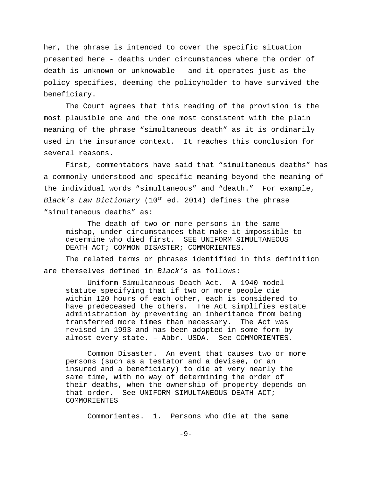her, the phrase is intended to cover the specific situation presented here - deaths under circumstances where the order of death is unknown or unknowable - and it operates just as the policy specifies, deeming the policyholder to have survived the beneficiary.

The Court agrees that this reading of the provision is the most plausible one and the one most consistent with the plain meaning of the phrase "simultaneous death" as it is ordinarily used in the insurance context. It reaches this conclusion for several reasons.

First, commentators have said that "simultaneous deaths" has a commonly understood and specific meaning beyond the meaning of the individual words "simultaneous" and "death." For example, Black's Law Dictionary ( $10^{th}$  ed. 2014) defines the phrase "simultaneous deaths" as:

The death of two or more persons in the same mishap, under circumstances that make it impossible to determine who died first. SEE UNIFORM SIMULTANEOUS DEATH ACT; COMMON DISASTER; COMMORIENTES.

The related terms or phrases identified in this definition are themselves defined in Black's as follows:

Uniform Simultaneous Death Act. A 1940 model statute specifying that if two or more people die within 120 hours of each other, each is considered to have predeceased the others. The Act simplifies estate administration by preventing an inheritance from being transferred more times than necessary. The Act was revised in 1993 and has been adopted in some form by almost every state. – Abbr. USDA. See COMMORIENTES.

Common Disaster. An event that causes two or more persons (such as a testator and a devisee, or an insured and a beneficiary) to die at very nearly the same time, with no way of determining the order of their deaths, when the ownership of property depends on that order. See UNIFORM SIMULTANEOUS DEATH ACT; COMMORIENTES

Commorientes. 1. Persons who die at the same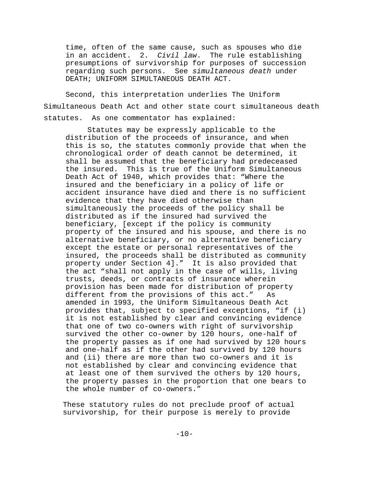time, often of the same cause, such as spouses who die in an accident. 2. Civil law. The rule establishing presumptions of survivorship for purposes of succession regarding such persons. See simultaneous death under DEATH; UNIFORM SIMULTANEOUS DEATH ACT.

Second, this interpretation underlies The Uniform Simultaneous Death Act and other state court simultaneous death statutes. As one commentator has explained:

Statutes may be expressly applicable to the distribution of the proceeds of insurance, and when this is so, the statutes commonly provide that when the chronological order of death cannot be determined, it shall be assumed that the beneficiary had predeceased the insured. This is true of the Uniform Simultaneous Death Act of 1940, which provides that: "Where the insured and the beneficiary in a policy of life or accident insurance have died and there is no sufficient evidence that they have died otherwise than simultaneously the proceeds of the policy shall be distributed as if the insured had survived the beneficiary, [except if the policy is community property of the insured and his spouse, and there is no alternative beneficiary, or no alternative beneficiary except the estate or personal representatives of the insured, the proceeds shall be distributed as community property under Section 4]." It is also provided that the act "shall not apply in the case of wills, living trusts, deeds, or contracts of insurance wherein provision has been made for distribution of property different from the provisions of this act." As amended in 1993, the Uniform Simultaneous Death Act provides that, subject to specified exceptions, "if (i) it is not established by clear and convincing evidence that one of two co-owners with right of survivorship survived the other co-owner by 120 hours, one-half of the property passes as if one had survived by 120 hours and one-half as if the other had survived by 120 hours and (ii) there are more than two co-owners and it is not established by clear and convincing evidence that at least one of them survived the others by 120 hours, the property passes in the proportion that one bears to the whole number of co-owners."

These statutory rules do not preclude proof of actual survivorship, for their purpose is merely to provide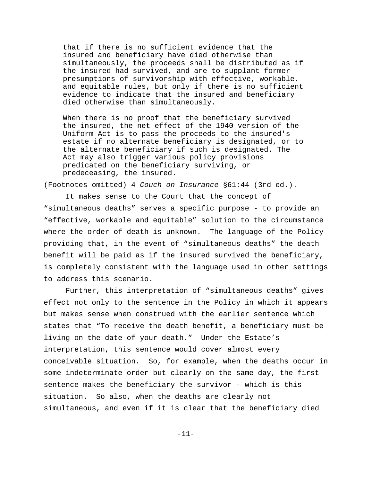that if there is no sufficient evidence that the insured and beneficiary have died otherwise than simultaneously, the proceeds shall be distributed as if the insured had survived, and are to supplant former presumptions of survivorship with effective, workable, and equitable rules, but only if there is no sufficient evidence to indicate that the insured and beneficiary died otherwise than simultaneously.

When there is no proof that the beneficiary survived the insured, the net effect of the 1940 version of the Uniform Act is to pass the proceeds to the insured's estate if no alternate beneficiary is designated, or to the alternate beneficiary if such is designated. The Act may also trigger various policy provisions predicated on the beneficiary surviving, or predeceasing, the insured.

(Footnotes omitted) 4 Couch on Insurance §61:44 (3rd ed.).

It makes sense to the Court that the concept of "simultaneous deaths" serves a specific purpose - to provide an "effective, workable and equitable" solution to the circumstance where the order of death is unknown. The language of the Policy providing that, in the event of "simultaneous deaths" the death benefit will be paid as if the insured survived the beneficiary, is completely consistent with the language used in other settings to address this scenario.

Further, this interpretation of "simultaneous deaths" gives effect not only to the sentence in the Policy in which it appears but makes sense when construed with the earlier sentence which states that "To receive the death benefit, a beneficiary must be living on the date of your death." Under the Estate's interpretation, this sentence would cover almost every conceivable situation. So, for example, when the deaths occur in some indeterminate order but clearly on the same day, the first sentence makes the beneficiary the survivor - which is this situation. So also, when the deaths are clearly not simultaneous, and even if it is clear that the beneficiary died

-11-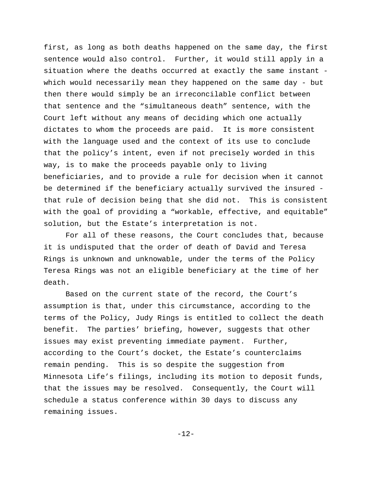first, as long as both deaths happened on the same day, the first sentence would also control. Further, it would still apply in a situation where the deaths occurred at exactly the same instant which would necessarily mean they happened on the same day - but then there would simply be an irreconcilable conflict between that sentence and the "simultaneous death" sentence, with the Court left without any means of deciding which one actually dictates to whom the proceeds are paid. It is more consistent with the language used and the context of its use to conclude that the policy's intent, even if not precisely worded in this way, is to make the proceeds payable only to living beneficiaries, and to provide a rule for decision when it cannot be determined if the beneficiary actually survived the insured that rule of decision being that she did not. This is consistent with the goal of providing a "workable, effective, and equitable" solution, but the Estate's interpretation is not.

For all of these reasons, the Court concludes that, because it is undisputed that the order of death of David and Teresa Rings is unknown and unknowable, under the terms of the Policy Teresa Rings was not an eligible beneficiary at the time of her death.

Based on the current state of the record, the Court's assumption is that, under this circumstance, according to the terms of the Policy, Judy Rings is entitled to collect the death benefit. The parties' briefing, however, suggests that other issues may exist preventing immediate payment. Further, according to the Court's docket, the Estate's counterclaims remain pending. This is so despite the suggestion from Minnesota Life's filings, including its motion to deposit funds, that the issues may be resolved. Consequently, the Court will schedule a status conference within 30 days to discuss any remaining issues.